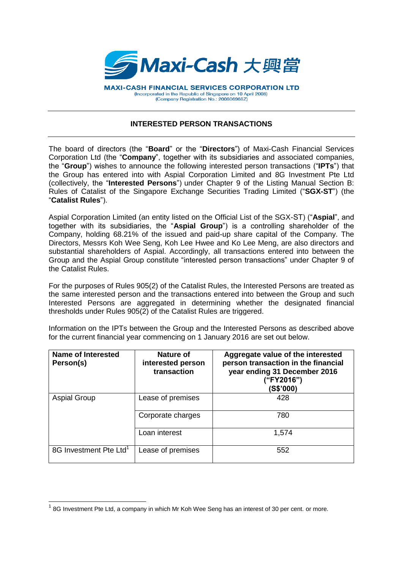

**MAXI-CASH FINANCIAL SERVICES CORPORATION LTD** (Incorporated in the Republic of Singapore on 10 April 2008) (Company Registration No.: 200806968Z)

## **INTERESTED PERSON TRANSACTIONS**

The board of directors (the "**Board**" or the "**Directors**") of Maxi-Cash Financial Services Corporation Ltd (the "**Company**", together with its subsidiaries and associated companies, the "**Group**") wishes to announce the following interested person transactions ("**IPTs**") that the Group has entered into with Aspial Corporation Limited and 8G Investment Pte Ltd (collectively, the "**Interested Persons**") under Chapter 9 of the Listing Manual Section B: Rules of Catalist of the Singapore Exchange Securities Trading Limited ("**SGX-ST**") (the "**Catalist Rules**").

Aspial Corporation Limited (an entity listed on the Official List of the SGX-ST) ("**Aspial**", and together with its subsidiaries, the "**Aspial Group**") is a controlling shareholder of the Company, holding 68.21% of the issued and paid-up share capital of the Company. The Directors, Messrs Koh Wee Seng, Koh Lee Hwee and Ko Lee Meng, are also directors and substantial shareholders of Aspial. Accordingly, all transactions entered into between the Group and the Aspial Group constitute "interested person transactions" under Chapter 9 of the Catalist Rules.

For the purposes of Rules 905(2) of the Catalist Rules, the Interested Persons are treated as the same interested person and the transactions entered into between the Group and such Interested Persons are aggregated in determining whether the designated financial thresholds under Rules 905(2) of the Catalist Rules are triggered.

Information on the IPTs between the Group and the Interested Persons as described above for the current financial year commencing on 1 January 2016 are set out below.

| Name of Interested<br>Person(s)    | Nature of<br>interested person<br>transaction | Aggregate value of the interested<br>person transaction in the financial<br>year ending 31 December 2016<br>("FY2016")<br>(S\$'000) |
|------------------------------------|-----------------------------------------------|-------------------------------------------------------------------------------------------------------------------------------------|
| <b>Aspial Group</b>                | Lease of premises                             | 428                                                                                                                                 |
|                                    | Corporate charges                             | 780                                                                                                                                 |
|                                    | Loan interest                                 | 1,574                                                                                                                               |
| 8G Investment Pte Ltd <sup>1</sup> | Lease of premises                             | 552                                                                                                                                 |

 $\overline{\phantom{a}}$ 

 $1$  8G Investment Pte Ltd, a company in which Mr Koh Wee Seng has an interest of 30 per cent. or more.